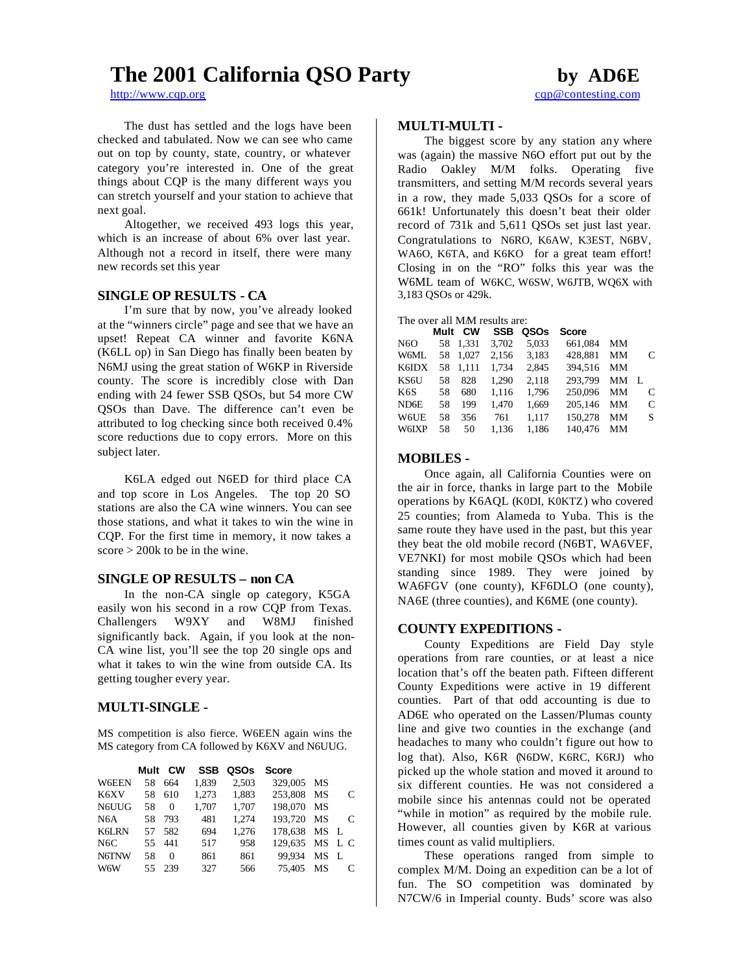# **The 2001 California QSO Party by AD6E**

http://www.cqp.org cap@contesting.com

The dust has settled and the logs have been checked and tabulated. Now we can see who came out on top by county, state, country, or whatever category you're interested in. One of the great things about CQP is the many different ways you can stretch yourself and your station to achieve that next goal.

Altogether, we received 493 logs this year, which is an increase of about 6% over last year. Although not a record in itself, there were many new records set this year

## **SINGLE OP RESULTS - CA**

I'm sure that by now, you've already looked at the "winners circle" page and see that we have an upset! Repeat CA winner and favorite K6NA (K6LL op) in San Diego has finally been beaten by N6MJ using the great station of W6KP in Riverside county. The score is incredibly close with Dan ending with 24 fewer SSB QSOs, but 54 more CW QSOs than Dave. The difference can't even be attributed to log checking since both received 0.4% score reductions due to copy errors. More on this subject later.

K6LA edged out N6ED for third place CA and top score in Los Angeles. The top 20 SO stations are also the CA wine winners. You can see those stations, and what it takes to win the wine in CQP. For the first time in memory, it now takes a score  $> 200k$  to be in the wine.

## **SINGLE OP RESULTS – non CA**

In the non-CA single op category, K5GA easily won his second in a row CQP from Texas. Challengers W9XY and W8MJ finished significantly back. Again, if you look at the non-CA wine list, you'll see the top 20 single ops and what it takes to win the wine from outside CA. Its getting tougher every year.

## **MULTI-SINGLE -**

MS competition is also fierce. W6EEN again wins the MS category from CA followed by K6XV and N6UUG.

|                  | Mult | <b>CW</b> | <b>SSB</b> | QSOs  | <b>Score</b>   |      |               |
|------------------|------|-----------|------------|-------|----------------|------|---------------|
| W6EEN            | 58   | 664       | 1,839      | 2,503 | 329,005 MS     |      |               |
| K6XV             | 58   | 610       | 1.273      | 1,883 | 253,808        | MS   | C             |
| N6UUG            | 58   | 0         | 1,707      | 1,707 | 198,070 MS     |      |               |
| N <sub>6</sub> A | 58   | 793       | 481        | 1.274 | 193.720        | MS   | $\mathcal{C}$ |
| <b>K6LRN</b>     | 57   | 582       | 694        | 1.276 | 178.638 MS L   |      |               |
| N <sub>6</sub> C | 55   | 441       | 517        | 958   | 129,635 MS L C |      |               |
| N6TNW            | 58   | $\Omega$  | 861        | 861   | 99.934         | MS L |               |
| W6W              | 55   | 239       | 327        | 566   | 75.405         | MS   |               |

## **MULTI-MULTI -**

The biggest score by any station any where was (again) the massive N6O effort put out by the Radio Oakley M/M folks. Operating five transmitters, and setting M/M records several years in a row, they made 5,033 QSOs for a score of 661k! Unfortunately this doesn't beat their older record of 731k and 5,611 QSOs set just last year. Congratulations to N6RO, K6AW, K3EST, N6BV, WA6O, K6TA, and K6KO for a great team effort! Closing in on the "RO" folks this year was the W6ML team of W6KC, W6SW, W6JTB, WQ6X with 3,183 QSOs or 429k.

| The over all MM results are: |  |  |  |
|------------------------------|--|--|--|
|------------------------------|--|--|--|

|                   | Mult | <b>CW</b> | <b>SSB</b> | QSOs  | <b>Score</b> |    |   |
|-------------------|------|-----------|------------|-------|--------------|----|---|
| N <sub>6</sub> O  | 58   | 1,331     | 3.702      | 5,033 | 661,084      | MМ |   |
| W6ML              | 58   | 1.027     | 2.156      | 3.183 | 428.881      | MМ | C |
| K6IDX             | 58   | 1.111     | 1.734      | 2,845 | 394.516      | MМ |   |
| KS6U              | 58   | 828       | 1.290      | 2.118 | 293.799      | MМ | L |
| K6S               | 58   | 680       | 1.116      | 1.796 | 250,096      | MМ | C |
| ND <sub>6</sub> E | 58   | 199       | 1,470      | 1,669 | 205,146      | MМ | C |
| <b>W6UE</b>       | 58   | 356       | 761        | 1.117 | 150,278      | MМ | S |
| <b>W6IXP</b>      | 58   | 50        | 1.136      | 1.186 | 140,476      | MМ |   |
|                   |      |           |            |       |              |    |   |

## **MOBILES -**

Once again, all California Counties were on the air in force, thanks in large part to the Mobile operations by K6AQL (K0DI, K0KTZ) who covered 25 counties; from Alameda to Yuba. This is the same route they have used in the past, but this year they beat the old mobile record (N6BT, WA6VEF, VE7NKI) for most mobile QSOs which had been standing since 1989. They were joined by WA6FGV (one county), KF6DLO (one county), NA6E (three counties), and K6ME (one county).

### **COUNTY EXPEDITIONS -**

County Expeditions are Field Day style operations from rare counties, or at least a nice location that's off the beaten path. Fifteen different County Expeditions were active in 19 different counties. Part of that odd accounting is due to AD6E who operated on the Lassen/Plumas county line and give two counties in the exchange (and headaches to many who couldn't figure out how to log that). Also, K6R (N6DW, K6RC, K6RJ) who picked up the whole station and moved it around to six different counties. He was not considered a mobile since his antennas could not be operated "while in motion" as required by the mobile rule. However, all counties given by K6R at various times count as valid multipliers.

These operations ranged from simple to complex M/M. Doing an expedition can be a lot of fun. The SO competition was dominated by N7CW/6 in Imperial county. Buds' score was also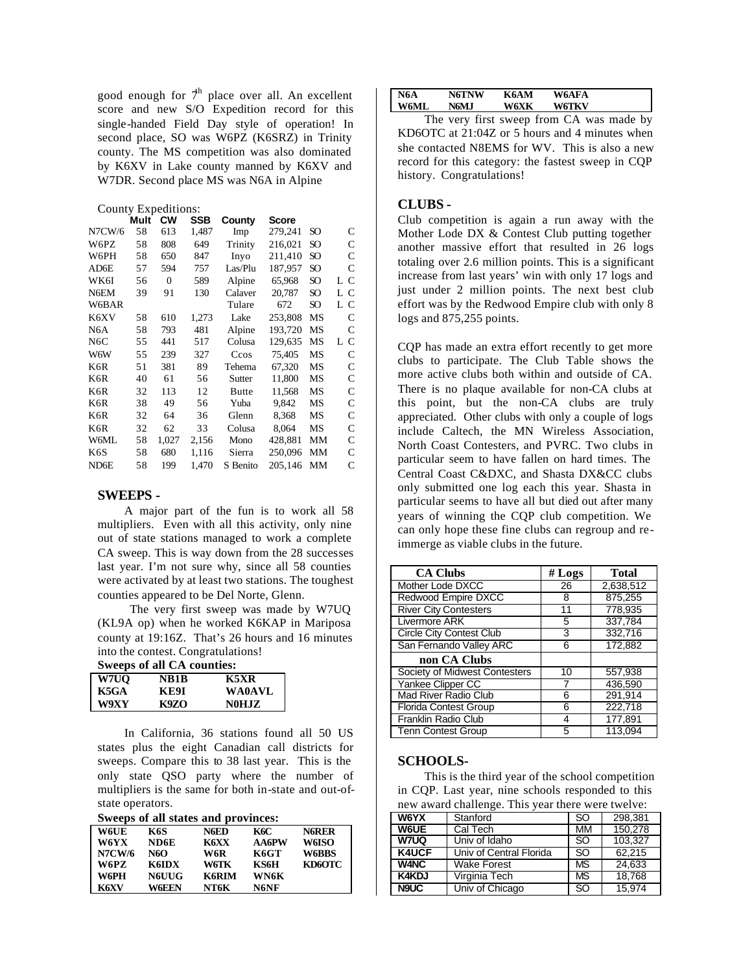good enough for  $\mathcal{T}^h$  place over all. An excellent score and new S/O Expedition record for this single-handed Field Day style of operation! In second place, SO was W6PZ (K6SRZ) in Trinity county. The MS competition was also dominated by K6XV in Lake county manned by K6XV and W7DR. Second place MS was N6A in Alpine

|  | County Expeditions: |
|--|---------------------|
|--|---------------------|

|                   | Mult | <b>CW</b>    | SSB   | County       | Score   |                 |     |
|-------------------|------|--------------|-------|--------------|---------|-----------------|-----|
| <b>N7CW/6</b>     | 58   | 613          | 1,487 | Imp          | 279,241 | SO              | C   |
| W6PZ              | 58   | 808          | 649   | Trinity      | 216,021 | SO <sub>1</sub> | C   |
| W6PH              | 58   | 650          | 847   | Inyo         | 211,410 | SO.             | C   |
| AD6E              | 57   | 594          | 757   | Las/Plu      | 187,957 | SO.             | C   |
| WK6I              | 56   | $\mathbf{0}$ | 589   | Alpine       | 65,968  | SO.             | LС  |
| N6EM              | 39   | 91           | 130   | Calaver      | 20,787  | SO              | L C |
| W6BAR             |      |              |       | Tulare       | 672     | SO              | LС  |
| K6XV              | 58   | 610          | 1,273 | Lake         | 253,808 | MS              | С   |
| N6A               | 58   | 793          | 481   | Alpine       | 193,720 | MS              | C   |
| N6C               | 55   | 441          | 517   | Colusa       | 129,635 | MS              | LС  |
| W6W               | 55   | 239          | 327   | Ccos         | 75,405  | MS              | C   |
| K6R               | 51   | 381          | 89    | Tehema       | 67,320  | MS              | C   |
| K6R               | 40   | 61           | 56    | Sutter       | 11,800  | MS              | C   |
| K6R               | 32   | 113          | 12    | <b>Butte</b> | 11.568  | <b>MS</b>       | C   |
| K6R               | 38   | 49           | 56    | Yuba         | 9,842   | MS              | C   |
| K6R               | 32   | 64           | 36    | Glenn        | 8,368   | MS              | С   |
| K6R               | 32   | 62           | 33    | Colusa       | 8,064   | MS              | C   |
| W6ML              | 58   | 1,027        | 2,156 | Mono         | 428,881 | MM              | C   |
| K6S               | 58   | 680          | 1,116 | Sierra       | 250,096 | MM              | С   |
| ND <sub>6</sub> E | 58   | 199          | 1,470 | S Benito     | 205.146 | MM              | C   |

## **SWEEPS -**

A major part of the fun is to work all 58 multipliers. Even with all this activity, only nine out of state stations managed to work a complete CA sweep. This is way down from the 28 successes last year. I'm not sure why, since all 58 counties were activated by at least two stations. The toughest counties appeared to be Del Norte, Glenn.

 The very first sweep was made by W7UQ (KL9A op) when he worked K6KAP in Mariposa county at 19:16Z. That's 26 hours and 16 minutes into the contest. Congratulations!

**Sweeps of all CA counties:**

| W7UO | NB1B  | K5XR          |
|------|-------|---------------|
| K5GA | ке9і  | <b>WA0AVL</b> |
| W9XY | K97.O | N0H.IZ        |

In California, 36 stations found all 50 US states plus the eight Canadian call districts for sweeps. Compare this to 38 last year. This is the only state QSO party where the number of multipliers is the same for both in-state and out-ofstate operators.

|  |  | Sweeps of all states and provinces: |
|--|--|-------------------------------------|
|  |  |                                     |

| <b>W6UE</b>   | K6S          | N6ED         | K6C          | <b>N6RER</b> |
|---------------|--------------|--------------|--------------|--------------|
| W6YX          | ND6E         | K6XX         | <b>AA6PW</b> | <b>W6ISO</b> |
| <b>N7CW/6</b> | N6O          | W6R          | K6GT         | <b>W6BBS</b> |
| W6PZ          | KGIDX        | W6TK         | KS6H         | KD6OTC       |
| W6PH          | <b>N6UUG</b> | <b>K6RIM</b> | WN6K         |              |
| K6XV          | W6EEN        | NT6K         | N6NF         |              |

| N6A  | <b>N6TNW</b> | K6AM | <b>W6AFA</b> |  |
|------|--------------|------|--------------|--|
| W6ML | N6MJ         | W6XK | <b>W6TKV</b> |  |

The very first sweep from CA was made by KD6OTC at 21:04Z or 5 hours and 4 minutes when she contacted N8EMS for WV. This is also a new record for this category: the fastest sweep in CQP history. Congratulations!

## **CLUBS -**

Club competition is again a run away with the Mother Lode DX & Contest Club putting together another massive effort that resulted in 26 logs totaling over 2.6 million points. This is a significant increase from last years' win with only 17 logs and just under 2 million points. The next best club effort was by the Redwood Empire club with only 8 logs and 875,255 points.

CQP has made an extra effort recently to get more clubs to participate. The Club Table shows the more active clubs both within and outside of CA. There is no plaque available for non-CA clubs at this point, but the non-CA clubs are truly appreciated. Other clubs with only a couple of logs include Caltech, the MN Wireless Association, North Coast Contesters, and PVRC. Two clubs in particular seem to have fallen on hard times. The Central Coast C&DXC, and Shasta DX&CC clubs only submitted one log each this year. Shasta in particular seems to have all but died out after many years of winning the CQP club competition. We can only hope these fine clubs can regroup and reimmerge as viable clubs in the future.

| <b>CA Clubs</b>                 | # $Logs$ | <b>Total</b> |
|---------------------------------|----------|--------------|
| Mother Lode DXCC                | 26       | 2,638,512    |
| Redwood Empire DXCC             | 8        | 875,255      |
| <b>River City Contesters</b>    | 11       | 778,935      |
| Livermore ARK                   | 5        | 337.784      |
| <b>Circle City Contest Club</b> | 3        | 332,716      |
| San Fernando Valley ARC         | 6        | 172,882      |
| non CA Clubs                    |          |              |
| Society of Midwest Contesters   | 10       | 557,938      |
| Yankee Clipper CC               |          | 436.590      |
| <b>Mad River Radio Club</b>     | 6        | 291.914      |
| <b>Florida Contest Group</b>    | 6        | 222,718      |
| Franklin Radio Club             | 4        | 177.891      |
| <b>Tenn Contest Group</b>       | 5        | 113.094      |

#### **SCHOOLS-**

This is the third year of the school competition in CQP. Last year, nine schools responded to this new award challenge. This year there were twelve:

| W6YX         | Stanford                | <sub>SO</sub> | 298.381 |
|--------------|-------------------------|---------------|---------|
| W6UE         | Cal Tech                | MM            | 150.278 |
| <b>W7UQ</b>  | Univ of Idaho           | <sub>SO</sub> | 103.327 |
| <b>K4UCF</b> | Univ of Central Florida | SO            | 62.215  |
| <b>W4NC</b>  | <b>Wake Forest</b>      | <b>MS</b>     | 24,633  |
| <b>K4KDJ</b> | Virginia Tech           | <b>MS</b>     | 18,768  |
| N9UC         | Univ of Chicago         | <sub>SO</sub> | 15.974  |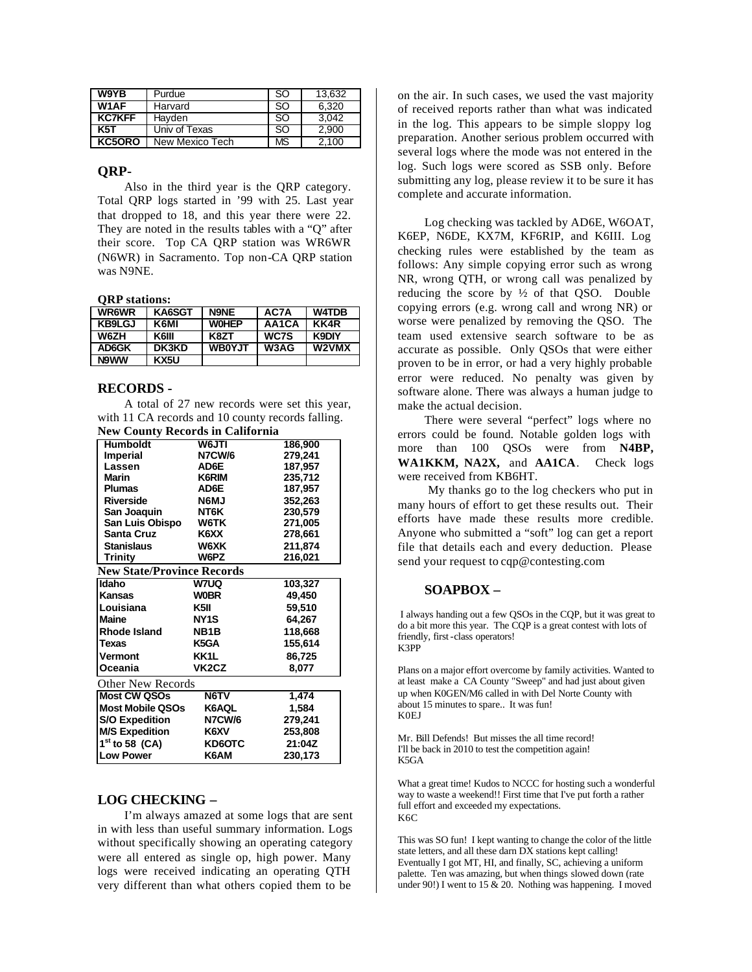| W9YB          | Purdue          | -SO           | 13,632 |
|---------------|-----------------|---------------|--------|
| W1AF          | Harvard         | -SO           | 6.320  |
| <b>KC7KFF</b> | Hayden          | -SO           | 3.042  |
| <b>K5T</b>    | Univ of Texas   | <sub>SO</sub> | 2.900  |
| KC5ORO        | New Mexico Tech | <b>MS</b>     | 2.100  |

## **QRP-**

Also in the third year is the QRP category. Total QRP logs started in '99 with 25. Last year that dropped to 18, and this year there were 22. They are noted in the results tables with a "Q" after their score. Top CA QRP station was WR6WR (N6WR) in Sacramento. Top non-CA QRP station was N9NE.

## **QRP stations:**

| <b>WR6WR</b>  | KA6SGT       | <b>N9NE</b>   | AC7A  | <b>W4TDB</b> |
|---------------|--------------|---------------|-------|--------------|
| <b>KB9LGJ</b> | K6MI         | <b>WOHEP</b>  | AA1CA | KK4R         |
| <b>W6ZH</b>   | <b>K6III</b> | K8ZT          | WC7S  | <b>K9DIY</b> |
| AD6GK         | DK3KD        | <b>WB0YJT</b> | W3AG  | W2VMX        |
| N9WW          | KX5U         |               |       |              |

### **RECORDS -**

A total of 27 new records were set this year, with 11 CA records and 10 county records falling. **New County Records in California**

| <b>Humboldt</b><br>W6JTI<br>186,900<br><b>N7CW/6</b><br>279,241<br><b>Imperial</b><br>Lassen<br>AD6E<br>187,957<br>235,712<br>Marin<br>K6RIM<br><b>Plumas</b><br>AD6E<br>187,957<br>N6MJ<br>352,263<br><b>Riverside</b><br>San Joaquin<br>NT6K<br>230,579<br>San Luis Obispo<br>W6TK<br>271,005<br><b>Santa Cruz</b><br>K6XX<br>278,661<br><b>Stanislaus</b><br>W6XK<br>211,874<br>W6PZ<br>216,021<br><b>Trinity</b><br><b>W7UQ</b><br>103,327<br>Kansas<br><b>WOBR</b><br>49,450<br>Louisiana<br>K5II<br>59,510<br><b>Maine</b><br>NY <sub>1</sub> S<br>64,267<br>Rhode Island<br>NB <sub>1</sub> B<br>118,668<br>155,614<br><b>Texas</b><br>K5GA<br>KK1L<br>86,725<br><b>Vermont</b><br>VK <sub>2</sub> C <sub>Z</sub><br>Oceania<br>8,077<br>N6TV<br>1,474<br><b>Most Mobile QSOs</b><br>K6AQL<br>1,584<br>N7CW/6<br><b>S/O Expedition</b><br>279,241<br><b>M/S Expedition</b><br>253,808<br>K6XV<br>$1st$ to 58 (CA)<br>21:04Z<br>KD6OTC<br>K6AM<br>230,173 | They county records in cannoinma  |  |  |  |  |  |
|-----------------------------------------------------------------------------------------------------------------------------------------------------------------------------------------------------------------------------------------------------------------------------------------------------------------------------------------------------------------------------------------------------------------------------------------------------------------------------------------------------------------------------------------------------------------------------------------------------------------------------------------------------------------------------------------------------------------------------------------------------------------------------------------------------------------------------------------------------------------------------------------------------------------------------------------------------------------|-----------------------------------|--|--|--|--|--|
|                                                                                                                                                                                                                                                                                                                                                                                                                                                                                                                                                                                                                                                                                                                                                                                                                                                                                                                                                                 |                                   |  |  |  |  |  |
|                                                                                                                                                                                                                                                                                                                                                                                                                                                                                                                                                                                                                                                                                                                                                                                                                                                                                                                                                                 |                                   |  |  |  |  |  |
|                                                                                                                                                                                                                                                                                                                                                                                                                                                                                                                                                                                                                                                                                                                                                                                                                                                                                                                                                                 |                                   |  |  |  |  |  |
|                                                                                                                                                                                                                                                                                                                                                                                                                                                                                                                                                                                                                                                                                                                                                                                                                                                                                                                                                                 |                                   |  |  |  |  |  |
|                                                                                                                                                                                                                                                                                                                                                                                                                                                                                                                                                                                                                                                                                                                                                                                                                                                                                                                                                                 |                                   |  |  |  |  |  |
|                                                                                                                                                                                                                                                                                                                                                                                                                                                                                                                                                                                                                                                                                                                                                                                                                                                                                                                                                                 |                                   |  |  |  |  |  |
|                                                                                                                                                                                                                                                                                                                                                                                                                                                                                                                                                                                                                                                                                                                                                                                                                                                                                                                                                                 |                                   |  |  |  |  |  |
|                                                                                                                                                                                                                                                                                                                                                                                                                                                                                                                                                                                                                                                                                                                                                                                                                                                                                                                                                                 |                                   |  |  |  |  |  |
|                                                                                                                                                                                                                                                                                                                                                                                                                                                                                                                                                                                                                                                                                                                                                                                                                                                                                                                                                                 |                                   |  |  |  |  |  |
|                                                                                                                                                                                                                                                                                                                                                                                                                                                                                                                                                                                                                                                                                                                                                                                                                                                                                                                                                                 |                                   |  |  |  |  |  |
|                                                                                                                                                                                                                                                                                                                                                                                                                                                                                                                                                                                                                                                                                                                                                                                                                                                                                                                                                                 |                                   |  |  |  |  |  |
|                                                                                                                                                                                                                                                                                                                                                                                                                                                                                                                                                                                                                                                                                                                                                                                                                                                                                                                                                                 | <b>New State/Province Records</b> |  |  |  |  |  |
|                                                                                                                                                                                                                                                                                                                                                                                                                                                                                                                                                                                                                                                                                                                                                                                                                                                                                                                                                                 | <b>Idaho</b>                      |  |  |  |  |  |
|                                                                                                                                                                                                                                                                                                                                                                                                                                                                                                                                                                                                                                                                                                                                                                                                                                                                                                                                                                 |                                   |  |  |  |  |  |
|                                                                                                                                                                                                                                                                                                                                                                                                                                                                                                                                                                                                                                                                                                                                                                                                                                                                                                                                                                 |                                   |  |  |  |  |  |
|                                                                                                                                                                                                                                                                                                                                                                                                                                                                                                                                                                                                                                                                                                                                                                                                                                                                                                                                                                 |                                   |  |  |  |  |  |
|                                                                                                                                                                                                                                                                                                                                                                                                                                                                                                                                                                                                                                                                                                                                                                                                                                                                                                                                                                 |                                   |  |  |  |  |  |
|                                                                                                                                                                                                                                                                                                                                                                                                                                                                                                                                                                                                                                                                                                                                                                                                                                                                                                                                                                 |                                   |  |  |  |  |  |
|                                                                                                                                                                                                                                                                                                                                                                                                                                                                                                                                                                                                                                                                                                                                                                                                                                                                                                                                                                 |                                   |  |  |  |  |  |
|                                                                                                                                                                                                                                                                                                                                                                                                                                                                                                                                                                                                                                                                                                                                                                                                                                                                                                                                                                 |                                   |  |  |  |  |  |
|                                                                                                                                                                                                                                                                                                                                                                                                                                                                                                                                                                                                                                                                                                                                                                                                                                                                                                                                                                 | Other New Records                 |  |  |  |  |  |
|                                                                                                                                                                                                                                                                                                                                                                                                                                                                                                                                                                                                                                                                                                                                                                                                                                                                                                                                                                 | <b>Most CW QSOs</b>               |  |  |  |  |  |
|                                                                                                                                                                                                                                                                                                                                                                                                                                                                                                                                                                                                                                                                                                                                                                                                                                                                                                                                                                 |                                   |  |  |  |  |  |
|                                                                                                                                                                                                                                                                                                                                                                                                                                                                                                                                                                                                                                                                                                                                                                                                                                                                                                                                                                 |                                   |  |  |  |  |  |
|                                                                                                                                                                                                                                                                                                                                                                                                                                                                                                                                                                                                                                                                                                                                                                                                                                                                                                                                                                 |                                   |  |  |  |  |  |
|                                                                                                                                                                                                                                                                                                                                                                                                                                                                                                                                                                                                                                                                                                                                                                                                                                                                                                                                                                 |                                   |  |  |  |  |  |
|                                                                                                                                                                                                                                                                                                                                                                                                                                                                                                                                                                                                                                                                                                                                                                                                                                                                                                                                                                 | <b>Low Power</b>                  |  |  |  |  |  |

## **LOG CHECKING –**

I'm always amazed at some logs that are sent in with less than useful summary information. Logs without specifically showing an operating category were all entered as single op, high power. Many logs were received indicating an operating QTH very different than what others copied them to be

on the air. In such cases, we used the vast majority of received reports rather than what was indicated in the log. This appears to be simple sloppy log preparation. Another serious problem occurred with several logs where the mode was not entered in the log. Such logs were scored as SSB only. Before submitting any log, please review it to be sure it has complete and accurate information.

Log checking was tackled by AD6E, W6OAT, K6EP, N6DE, KX7M, KF6RIP, and K6III. Log checking rules were established by the team as follows: Any simple copying error such as wrong NR, wrong QTH, or wrong call was penalized by reducing the score by  $\frac{1}{2}$  of that QSO. Double copying errors (e.g. wrong call and wrong NR) or worse were penalized by removing the QSO. The team used extensive search software to be as accurate as possible. Only QSOs that were either proven to be in error, or had a very highly probable error were reduced. No penalty was given by software alone. There was always a human judge to make the actual decision.

There were several "perfect" logs where no errors could be found. Notable golden logs with more than 100 QSOs were from **N4BP, WA1KKM, NA2X,** and **AA1CA**. Check logs were received from KB6HT.

 My thanks go to the log checkers who put in many hours of effort to get these results out. Their efforts have made these results more credible. Anyone who submitted a "soft" log can get a report file that details each and every deduction. Please send your request to cqp@contesting.com

## **SOAPBOX –**

 I always handing out a few QSOs in the CQP, but it was great to do a bit more this year. The CQP is a great contest with lots of friendly, first-class operators! K3PP

Plans on a major effort overcome by family activities. Wanted to at least make a CA County "Sweep" and had just about given up when K0GEN/M6 called in with Del Norte County with about 15 minutes to spare.. It was fun! K0EJ

Mr. Bill Defends! But misses the all time record! I'll be back in 2010 to test the competition again! K5GA

What a great time! Kudos to NCCC for hosting such a wonderful way to waste a weekend!! First time that I've put forth a rather full effort and exceeded my expectations. K6C

This was SO fun! I kept wanting to change the color of the little state letters, and all these darn DX stations kept calling! Eventually I got MT, HI, and finally, SC, achieving a uniform palette. Ten was amazing, but when things slowed down (rate under 90!) I went to 15  $\&$  20. Nothing was happening. I moved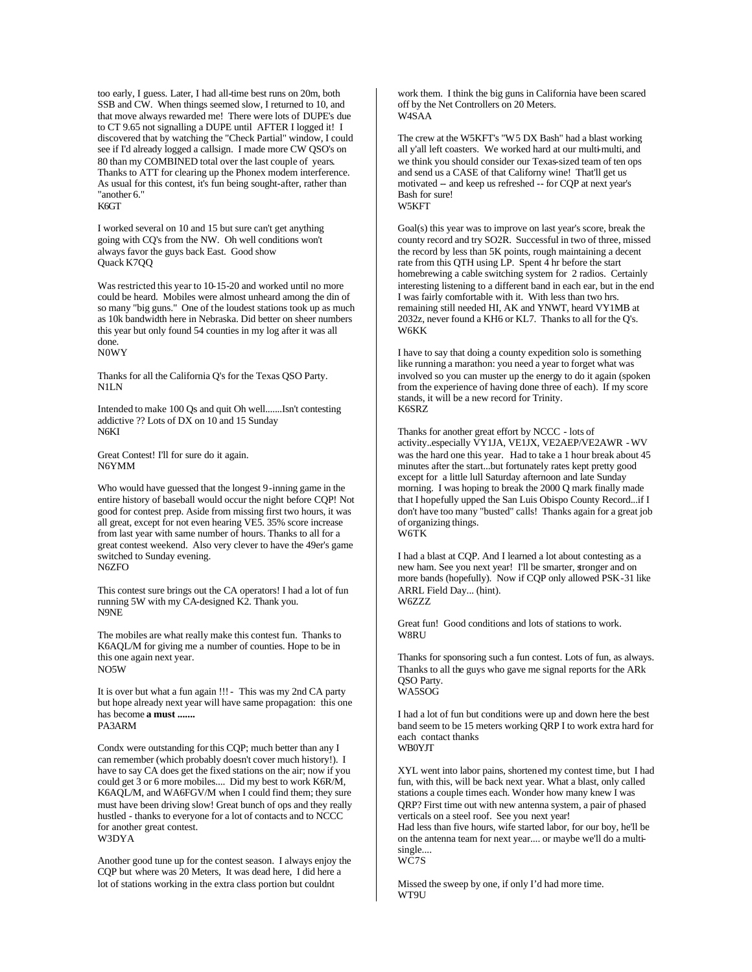too early, I guess. Later, I had all-time best runs on 20m, both SSB and CW. When things seemed slow, I returned to 10, and that move always rewarded me! There were lots of DUPE's due to CT 9.65 not signalling a DUPE until AFTER I logged it! I discovered that by watching the "Check Partial" window, I could see if I'd already logged a callsign. I made more CW QSO's on 80 than my COMBINED total over the last couple of years. Thanks to ATT for clearing up the Phonex modem interference. As usual for this contest, it's fun being sought-after, rather than "another 6."

K6GT

I worked several on 10 and 15 but sure can't get anything going with CQ's from the NW. Oh well conditions won't always favor the guys back East. Good show Quack K7QQ

Was restricted this year to 10-15-20 and worked until no more could be heard. Mobiles were almost unheard among the din of so many "big guns." One of the loudest stations took up as much as 10k bandwidth here in Nebraska. Did better on sheer numbers this year but only found 54 counties in my log after it was all done. N0WY

Thanks for all the California Q's for the Texas QSO Party. N1LN

Intended to make 100 Qs and quit Oh well.......Isn't contesting addictive ?? Lots of DX on 10 and 15 Sunday N6KI

Great Contest! I'll for sure do it again. N6YMM

Who would have guessed that the longest 9-inning game in the entire history of baseball would occur the night before CQP! Not good for contest prep. Aside from missing first two hours, it was all great, except for not even hearing VE5. 35% score increase from last year with same number of hours. Thanks to all for a great contest weekend. Also very clever to have the 49er's game switched to Sunday evening. N6ZFO

This contest sure brings out the CA operators! I had a lot of fun running 5W with my CA-designed K2. Thank you. N9NE

The mobiles are what really make this contest fun. Thanks to K6AQL/M for giving me a number of counties. Hope to be in this one again next year. NO5W

It is over but what a fun again !!! - This was my 2nd CA party but hope already next year will have same propagation: this one has become **a must .......** PA3ARM

Condx were outstanding for this CQP; much better than any I can remember (which probably doesn't cover much history!). I have to say CA does get the fixed stations on the air; now if you could get 3 or 6 more mobiles.... Did my best to work K6R/M, K6AQL/M, and WA6FGV/M when I could find them; they sure must have been driving slow! Great bunch of ops and they really hustled - thanks to everyone for a lot of contacts and to NCCC for another great contest. W3DYA

Another good tune up for the contest season. I always enjoy the CQP but where was 20 Meters, It was dead here, I did here a lot of stations working in the extra class portion but couldnt

work them. I think the big guns in California have been scared off by the Net Controllers on 20 Meters. W4SAA

The crew at the W5KFT's "W5 DX Bash" had a blast working all y'all left coasters. We worked hard at our multi-multi, and we think you should consider our Texas-sized team of ten ops and send us a CASE of that Californy wine! That'll get us motivated -- and keep us refreshed -- for CQP at next year's Bash for sure! W5KFT

Goal(s) this year was to improve on last year's score, break the county record and try SO2R. Successful in two of three, missed the record by less than 5K points, rough maintaining a decent rate from this QTH using LP. Spent 4 hr before the start homebrewing a cable switching system for 2 radios. Certainly interesting listening to a different band in each ear, but in the end I was fairly comfortable with it. With less than two hrs. remaining still needed HI, AK and YNWT, heard VY1MB at 2032z, never found a KH6 or KL7. Thanks to all for the Q's. W6KK

I have to say that doing a county expedition solo is something like running a marathon: you need a year to forget what was involved so you can muster up the energy to do it again (spoken from the experience of having done three of each). If my score stands, it will be a new record for Trinity. K6SRZ

Thanks for another great effort by NCCC - lots of activity..especially VY1JA, VE1JX, VE2AEP/VE2AWR - WV was the hard one this year. Had to take a 1 hour break about 45 minutes after the start...but fortunately rates kept pretty good except for a little lull Saturday afternoon and late Sunday morning. I was hoping to break the 2000 Q mark finally made that I hopefully upped the San Luis Obispo County Record...if I don't have too many "busted" calls! Thanks again for a great job of organizing things. W6TK

I had a blast at CQP. And I learned a lot about contesting as a new ham. See you next year! I'll be smarter, stronger and on more bands (hopefully). Now if CQP only allowed PSK-31 like ARRL Field Day... (hint). W6ZZZ.

Great fun! Good conditions and lots of stations to work. **W8RU** 

Thanks for sponsoring such a fun contest. Lots of fun, as always. Thanks to all the guys who gave me signal reports for the ARk QSO Party. WA5SOG

I had a lot of fun but conditions were up and down here the best band seem to be 15 meters working QRP I to work extra hard for each contact thanks WB0YJT

XYL went into labor pains, shortened my contest time, but I had fun, with this, will be back next year. What a blast, only called stations a couple times each. Wonder how many knew I was QRP? First time out with new antenna system, a pair of phased verticals on a steel roof. See you next year! Had less than five hours, wife started labor, for our boy, he'll be

on the antenna team for next year.... or maybe we'll do a multisingle.... WC7S

Missed the sweep by one, if only I'd had more time. WT9U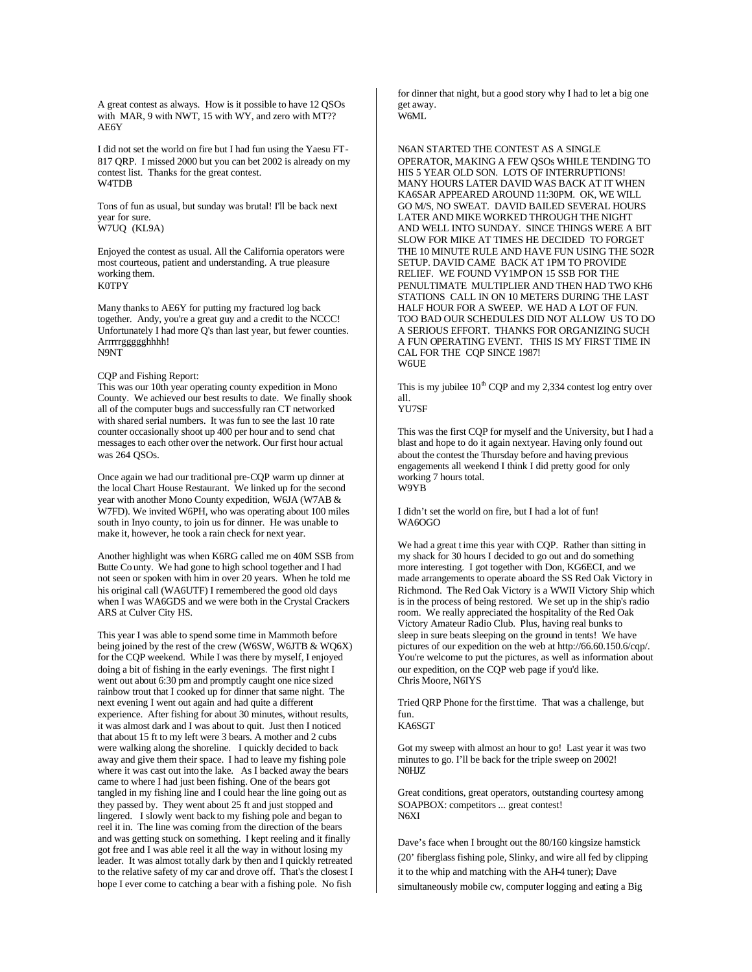A great contest as always. How is it possible to have 12 QSOs with MAR, 9 with NWT, 15 with WY, and zero with MT?? AE6Y

I did not set the world on fire but I had fun using the Yaesu FT-817 QRP. I missed 2000 but you can bet 2002 is already on my contest list. Thanks for the great contest. W4TDB

Tons of fun as usual, but sunday was brutal! I'll be back next year for sure. W7UQ (KL9A)

Enjoyed the contest as usual. All the California operators were most courteous, patient and understanding. A true pleasure working them. K0TPY

Many thanks to AE6Y for putting my fractured log back together. Andy, you're a great guy and a credit to the NCCC! Unfortunately I had more Q's than last year, but fewer counties. Arrrrrggggghhhh! N9NT

#### CQP and Fishing Report:

This was our 10th year operating county expedition in Mono County. We achieved our best results to date. We finally shook all of the computer bugs and successfully ran CT networked with shared serial numbers. It was fun to see the last 10 rate counter occasionally shoot up 400 per hour and to send chat messages to each other over the network. Our first hour actual was 264 QSOs.

Once again we had our traditional pre-CQP warm up dinner at the local Chart House Restaurant. We linked up for the second year with another Mono County expedition, W6JA (W7AB & W7FD). We invited W6PH, who was operating about 100 miles south in Inyo county, to join us for dinner. He was unable to make it, however, he took a rain check for next year.

Another highlight was when K6RG called me on 40M SSB from Butte Co unty. We had gone to high school together and I had not seen or spoken with him in over 20 years. When he told me his original call (WA6UTF) I remembered the good old days when I was WA6GDS and we were both in the Crystal Crackers ARS at Culver City HS.

This year I was able to spend some time in Mammoth before being joined by the rest of the crew (W6SW, W6JTB & WQ6X) for the CQP weekend. While I was there by myself, I enjoyed doing a bit of fishing in the early evenings. The first night I went out about 6:30 pm and promptly caught one nice sized rainbow trout that I cooked up for dinner that same night. The next evening I went out again and had quite a different experience. After fishing for about 30 minutes, without results, it was almost dark and I was about to quit. Just then I noticed that about 15 ft to my left were 3 bears. A mother and 2 cubs were walking along the shoreline. I quickly decided to back away and give them their space. I had to leave my fishing pole where it was cast out into the lake. As I backed away the bears came to where I had just been fishing. One of the bears got tangled in my fishing line and I could hear the line going out as they passed by. They went about 25 ft and just stopped and lingered. I slowly went back to my fishing pole and began to reel it in. The line was coming from the direction of the bears and was getting stuck on something. I kept reeling and it finally got free and I was able reel it all the way in without losing my leader. It was almost totally dark by then and I quickly retreated to the relative safety of my car and drove off. That's the closest I hope I ever come to catching a bear with a fishing pole. No fish

for dinner that night, but a good story why I had to let a big one get away. W6ML

N6AN STARTED THE CONTEST AS A SINGLE OPERATOR, MAKING A FEW QSOs WHILE TENDING TO HIS 5 YEAR OLD SON. LOTS OF INTERRUPTIONS! MANY HOURS LATER DAVID WAS BACK AT IT WHEN KA6SAR APPEARED AROUND 11:30PM. OK, WE WILL GO M/S, NO SWEAT. DAVID BAILED SEVERAL HOURS LATER AND MIKE WORKED THROUGH THE NIGHT AND WELL INTO SUNDAY. SINCE THINGS WERE A BIT SLOW FOR MIKE AT TIMES HE DECIDED TO FORGET THE 10 MINUTE RULE AND HAVE FUN USING THE SO2R SETUP. DAVID CAME BACK AT 1PM TO PROVIDE RELIEF. WE FOUND VY1MPON 15 SSB FOR THE PENULTIMATE MULTIPLIER AND THEN HAD TWO KH6 STATIONS CALL IN ON 10 METERS DURING THE LAST HALF HOUR FOR A SWEEP. WE HAD A LOT OF FUN. TOO BAD OUR SCHEDULES DID NOT ALLOW US TO DO A SERIOUS EFFORT. THANKS FOR ORGANIZING SUCH A FUN OPERATING EVENT. THIS IS MY FIRST TIME IN CAL FOR THE CQP SINCE 1987! **W6UE** 

This is my jubilee  $10^{th}$  CQP and my 2,334 contest log entry over all.

## YU7SF

This was the first CQP for myself and the University, but I had a blast and hope to do it again next year. Having only found out about the contest the Thursday before and having previous engagements all weekend I think I did pretty good for only working 7 hours total. W9YB

I didn't set the world on fire, but I had a lot of fun! WA6OGO

We had a great t ime this year with CQP. Rather than sitting in my shack for 30 hours I decided to go out and do something more interesting. I got together with Don, KG6ECI, and we made arrangements to operate aboard the SS Red Oak Victory in Richmond. The Red Oak Victory is a WWII Victory Ship which is in the process of being restored. We set up in the ship's radio room. We really appreciated the hospitality of the Red Oak Victory Amateur Radio Club. Plus, having real bunks to sleep in sure beats sleeping on the ground in tents! We have pictures of our expedition on the web at http://66.60.150.6/cqp/. You're welcome to put the pictures, as well as information about our expedition, on the CQP web page if you'd like. Chris Moore, N6IYS

Tried QRP Phone for the first time. That was a challenge, but fun.

## KA6SGT

Got my sweep with almost an hour to go! Last year it was two minutes to go. I'll be back for the triple sweep on 2002! N0HJZ

Great conditions, great operators, outstanding courtesy among SOAPBOX: competitors ... great contest! N6XI

Dave's face when I brought out the 80/160 kingsize hamstick (20' fiberglass fishing pole, Slinky, and wire all fed by clipping it to the whip and matching with the AH-4 tuner); Dave simultaneously mobile cw, computer logging and eating a Big